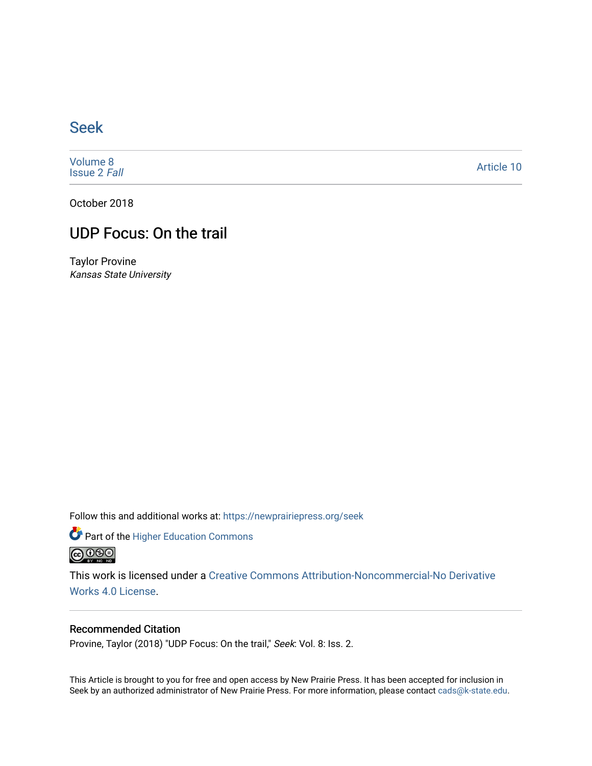## [Seek](https://newprairiepress.org/seek)

[Volume 8](https://newprairiepress.org/seek/vol8) [Issue 2](https://newprairiepress.org/seek/vol8/iss2) Fall

[Article 10](https://newprairiepress.org/seek/vol8/iss2/10) 

October 2018

### UDP Focus: On the trail

Taylor Provine Kansas State University

Follow this and additional works at: [https://newprairiepress.org/seek](https://newprairiepress.org/seek?utm_source=newprairiepress.org%2Fseek%2Fvol8%2Fiss2%2F10&utm_medium=PDF&utm_campaign=PDFCoverPages)

Part of the [Higher Education Commons](http://network.bepress.com/hgg/discipline/1245?utm_source=newprairiepress.org%2Fseek%2Fvol8%2Fiss2%2F10&utm_medium=PDF&utm_campaign=PDFCoverPages) 



This work is licensed under a [Creative Commons Attribution-Noncommercial-No Derivative](https://creativecommons.org/licenses/by-nc-nd/4.0/)  [Works 4.0 License](https://creativecommons.org/licenses/by-nc-nd/4.0/).

### Recommended Citation

Provine, Taylor (2018) "UDP Focus: On the trail," Seek: Vol. 8: Iss. 2.

This Article is brought to you for free and open access by New Prairie Press. It has been accepted for inclusion in Seek by an authorized administrator of New Prairie Press. For more information, please contact [cads@k-state.edu](mailto:cads@k-state.edu).